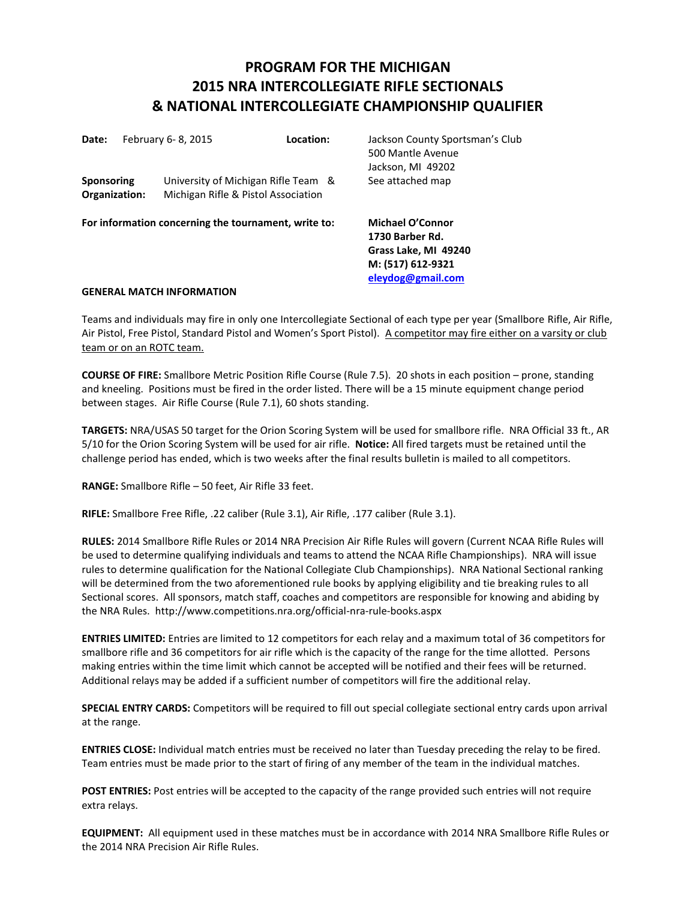# **PROGRAM FOR THE MICHIGAN 2015 NRA INTERCOLLEGIATE RIFLE SECTIONALS & NATIONAL INTERCOLLEGIATE CHAMPIONSHIP QUALIFIER**

| Date:                              |  | February 6-8, 2015                                                         | Location:                                            | Jackson County Sportsman's Club<br>500 Mantle Avenue<br>Jackson, MI 49202                                    |
|------------------------------------|--|----------------------------------------------------------------------------|------------------------------------------------------|--------------------------------------------------------------------------------------------------------------|
| <b>Sponsoring</b><br>Organization: |  | University of Michigan Rifle Team &<br>Michigan Rifle & Pistol Association |                                                      | See attached map                                                                                             |
|                                    |  |                                                                            | For information concerning the tournament, write to: | <b>Michael O'Connor</b><br>1730 Barber Rd.<br>Grass Lake, MI 49240<br>M: (517) 612-9321<br>eleydog@gmail.com |

## **GENERAL MATCH INFORMATION**

Teams and individuals may fire in only one Intercollegiate Sectional of each type per year (Smallbore Rifle, Air Rifle, Air Pistol, Free Pistol, Standard Pistol and Women's Sport Pistol). A competitor may fire either on a varsity or club team or on an ROTC team.

**COURSE OF FIRE:** Smallbore Metric Position Rifle Course (Rule 7.5). 20 shots in each position – prone, standing and kneeling. Positions must be fired in the order listed. There will be a 15 minute equipment change period between stages. Air Rifle Course (Rule 7.1), 60 shots standing.

**TARGETS:** NRA/USAS 50 target for the Orion Scoring System will be used for smallbore rifle.NRA Official 33 ft., AR 5/10 for the Orion Scoring System will be used for air rifle. **Notice:** All fired targets must be retained until the challenge period has ended, which is two weeks after the final results bulletin is mailed to all competitors.

**RANGE:** Smallbore Rifle – 50 feet, Air Rifle 33 feet.

**RIFLE:** Smallbore Free Rifle, .22 caliber (Rule 3.1), Air Rifle, .177 caliber (Rule 3.1).

**RULES:** 2014 Smallbore Rifle Rules or 2014 NRA Precision Air Rifle Rules will govern (Current NCAA Rifle Rules will be used to determine qualifying individuals and teams to attend the NCAA Rifle Championships). NRA will issue rules to determine qualification for the National Collegiate Club Championships). NRA National Sectional ranking will be determined from the two aforementioned rule books by applying eligibility and tie breaking rules to all Sectional scores. All sponsors, match staff, coaches and competitors are responsible for knowing and abiding by the NRA Rules. http://www.competitions.nra.org/official-nra-rule-books.aspx

**ENTRIES LIMITED:** Entries are limited to 12 competitors for each relay and a maximum total of 36 competitors for smallbore rifle and 36 competitors for air rifle which is the capacity of the range for the time allotted. Persons making entries within the time limit which cannot be accepted will be notified and their fees will be returned. Additional relays may be added if a sufficient number of competitors will fire the additional relay.

**SPECIAL ENTRY CARDS:** Competitors will be required to fill out special collegiate sectional entry cards upon arrival at the range.

**ENTRIES CLOSE:** Individual match entries must be received no later than Tuesday preceding the relay to be fired. Team entries must be made prior to the start of firing of any member of the team in the individual matches.

**POST ENTRIES:** Post entries will be accepted to the capacity of the range provided such entries will not require extra relays.

**EQUIPMENT:** All equipment used in these matches must be in accordance with 2014 NRA Smallbore Rifle Rules or the 2014 NRA Precision Air Rifle Rules.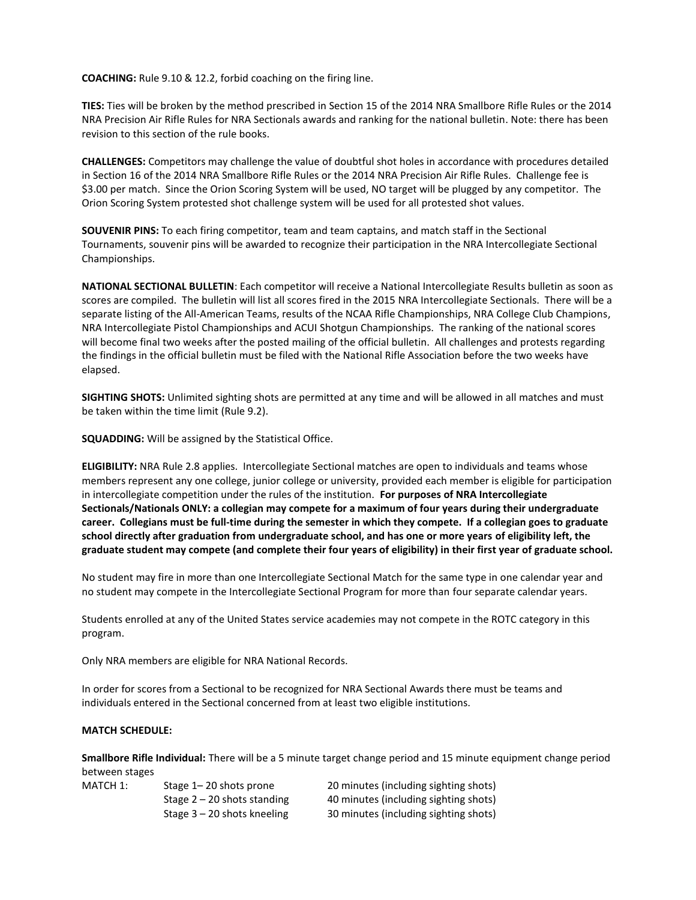**COACHING:** Rule 9.10 & 12.2, forbid coaching on the firing line.

**TIES:** Ties will be broken by the method prescribed in Section 15 of the 2014 NRA Smallbore Rifle Rules or the 2014 NRA Precision Air Rifle Rules for NRA Sectionals awards and ranking for the national bulletin. Note: there has been revision to this section of the rule books.

**CHALLENGES:** Competitors may challenge the value of doubtful shot holes in accordance with procedures detailed in Section 16 of the 2014 NRA Smallbore Rifle Rules or the 2014 NRA Precision Air Rifle Rules. Challenge fee is \$3.00 per match. Since the Orion Scoring System will be used, NO target will be plugged by any competitor. The Orion Scoring System protested shot challenge system will be used for all protested shot values.

**SOUVENIR PINS:** To each firing competitor, team and team captains, and match staff in the Sectional Tournaments, souvenir pins will be awarded to recognize their participation in the NRA Intercollegiate Sectional Championships.

**NATIONAL SECTIONAL BULLETIN**: Each competitor will receive a National Intercollegiate Results bulletin as soon as scores are compiled. The bulletin will list all scores fired in the 2015 NRA Intercollegiate Sectionals. There will be a separate listing of the All-American Teams, results of the NCAA Rifle Championships, NRA College Club Champions, NRA Intercollegiate Pistol Championships and ACUI Shotgun Championships. The ranking of the national scores will become final two weeks after the posted mailing of the official bulletin. All challenges and protests regarding the findings in the official bulletin must be filed with the National Rifle Association before the two weeks have elapsed.

**SIGHTING SHOTS:** Unlimited sighting shots are permitted at any time and will be allowed in all matches and must be taken within the time limit (Rule 9.2).

**SQUADDING:** Will be assigned by the Statistical Office.

**ELIGIBILITY:** NRA Rule 2.8 applies. Intercollegiate Sectional matches are open to individuals and teams whose members represent any one college, junior college or university, provided each member is eligible for participation in intercollegiate competition under the rules of the institution. **For purposes of NRA Intercollegiate Sectionals/Nationals ONLY: a collegian may compete for a maximum of four years during their undergraduate career. Collegians must be full-time during the semester in which they compete. If a collegian goes to graduate school directly after graduation from undergraduate school, and has one or more years of eligibility left, the graduate student may compete (and complete their four years of eligibility) in their first year of graduate school.**

No student may fire in more than one Intercollegiate Sectional Match for the same type in one calendar year and no student may compete in the Intercollegiate Sectional Program for more than four separate calendar years.

Students enrolled at any of the United States service academies may not compete in the ROTC category in this program.

Only NRA members are eligible for NRA National Records.

In order for scores from a Sectional to be recognized for NRA Sectional Awards there must be teams and individuals entered in the Sectional concerned from at least two eligible institutions.

# **MATCH SCHEDULE:**

**Smallbore Rifle Individual:** There will be a 5 minute target change period and 15 minute equipment change period between stages

| MATCH 1: | Stage $1 - 20$ shots prone    | 20 minutes (including sighting shots) |
|----------|-------------------------------|---------------------------------------|
|          | Stage $2 - 20$ shots standing | 40 minutes (including sighting shots) |
|          | Stage $3 - 20$ shots kneeling | 30 minutes (including sighting shots) |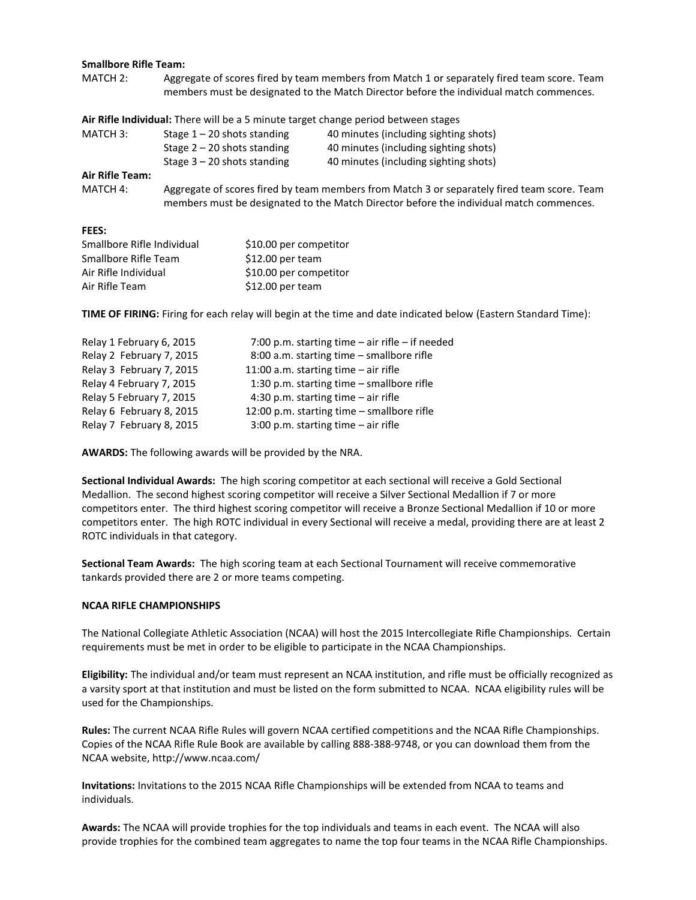#### **Smallbore Rifle Team:**

MATCH 2: Aggregate of scores fired by team members from Match 1 or separately fired team score. Team members must be designated to the Match Director before the individual match commences.

**Air Rifle Individual:** There will be a 5 minute target change period between stages

| MATCH 3:        | Stage $1 - 20$ shots standing | 40 minutes (including sighting shots) |
|-----------------|-------------------------------|---------------------------------------|
|                 | Stage $2 - 20$ shots standing | 40 minutes (including sighting shots) |
|                 | Stage $3 - 20$ shots standing | 40 minutes (including sighting shots) |
| Air Rifle Team: |                               |                                       |

MATCH 4: Aggregate of scores fired by team members from Match 3 or separately fired team score. Team members must be designated to the Match Director before the individual match commences.

#### **FEES:**

| Smallbore Rifle Individual | \$10.00 per competitor |
|----------------------------|------------------------|
| Smallbore Rifle Team       | $$12.00$ per team      |
| Air Rifle Individual       | \$10.00 per competitor |
| Air Rifle Team             | $$12.00$ per team      |

**TIME OF FIRING:** Firing for each relay will begin at the time and date indicated below (Eastern Standard Time):

| Relay 1 February 6, 2015 | 7:00 p.m. starting time $-$ air rifle $-$ if needed |
|--------------------------|-----------------------------------------------------|
| Relay 2 February 7, 2015 | 8:00 a.m. starting time - smallbore rifle           |
| Relay 3 February 7, 2015 | 11:00 a.m. starting time $-$ air rifle              |
| Relay 4 February 7, 2015 | 1:30 p.m. starting time $-$ smallbore rifle         |
| Relay 5 February 7, 2015 | 4:30 p.m. starting time $-$ air rifle               |
| Relay 6 February 8, 2015 | 12:00 p.m. starting time $-$ smallbore rifle        |
| Relay 7 February 8, 2015 | 3:00 p.m. starting time $-$ air rifle               |

**AWARDS:** The following awards will be provided by the NRA.

**Sectional Individual Awards:** The high scoring competitor at each sectional will receive a Gold Sectional Medallion. The second highest scoring competitor will receive a Silver Sectional Medallion if 7 or more competitors enter. The third highest scoring competitor will receive a Bronze Sectional Medallion if 10 or more competitors enter. The high ROTC individual in every Sectional will receive a medal, providing there are at least 2 ROTC individuals in that category.

**Sectional Team Awards:** The high scoring team at each Sectional Tournament will receive commemorative tankards provided there are 2 or more teams competing.

## **NCAA RIFLE CHAMPIONSHIPS**

The National Collegiate Athletic Association (NCAA) will host the 2015 Intercollegiate Rifle Championships. Certain requirements must be met in order to be eligible to participate in the NCAA Championships.

**Eligibility:** The individual and/or team must represent an NCAA institution, and rifle must be officially recognized as a varsity sport at that institution and must be listed on the form submitted to NCAA. NCAA eligibility rules will be used for the Championships.

**Rules:** The current NCAA Rifle Rules will govern NCAA certified competitions and the NCAA Rifle Championships. Copies of the NCAA Rifle Rule Book are available by calling 888-388-9748, or you can download them from the NCAA website, http://www.ncaa.com/

**Invitations:** Invitations to the 2015 NCAA Rifle Championships will be extended from NCAA to teams and individuals.

**Awards:** The NCAA will provide trophies for the top individuals and teams in each event. The NCAA will also provide trophies for the combined team aggregates to name the top four teams in the NCAA Rifle Championships.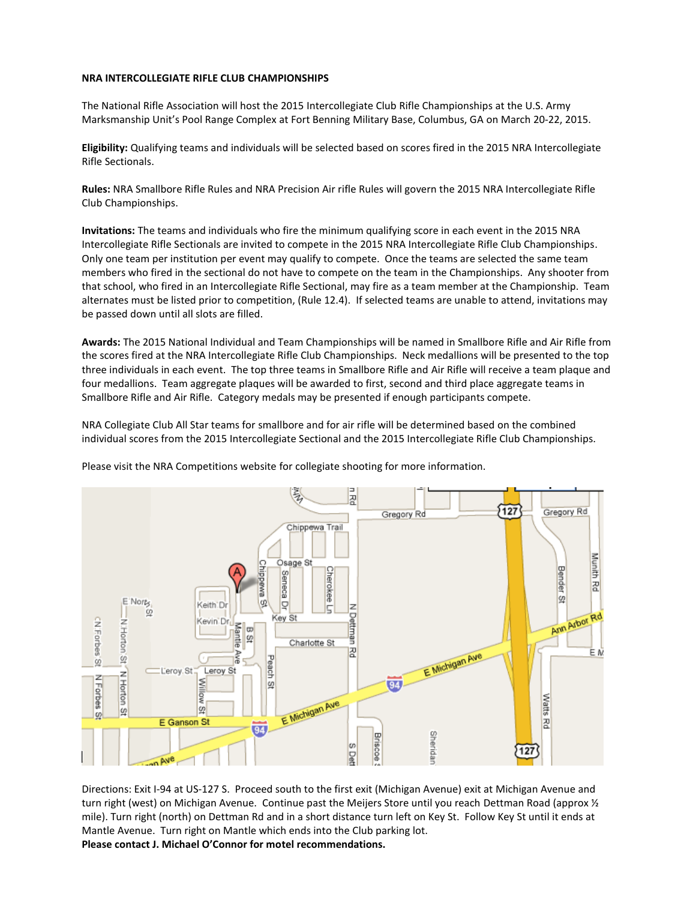## **NRA INTERCOLLEGIATE RIFLE CLUB CHAMPIONSHIPS**

The National Rifle Association will host the 2015 Intercollegiate Club Rifle Championships at the U.S. Army Marksmanship Unit's Pool Range Complex at Fort Benning Military Base, Columbus, GA on March 20-22, 2015.

**Eligibility:** Qualifying teams and individuals will be selected based on scores fired in the 2015 NRA Intercollegiate Rifle Sectionals.

**Rules:** NRA Smallbore Rifle Rules and NRA Precision Air rifle Rules will govern the 2015 NRA Intercollegiate Rifle Club Championships.

**Invitations:** The teams and individuals who fire the minimum qualifying score in each event in the 2015 NRA Intercollegiate Rifle Sectionals are invited to compete in the 2015 NRA Intercollegiate Rifle Club Championships. Only one team per institution per event may qualify to compete. Once the teams are selected the same team members who fired in the sectional do not have to compete on the team in the Championships. Any shooter from that school, who fired in an Intercollegiate Rifle Sectional, may fire as a team member at the Championship. Team alternates must be listed prior to competition, (Rule 12.4). If selected teams are unable to attend, invitations may be passed down until all slots are filled.

**Awards:** The 2015 National Individual and Team Championships will be named in Smallbore Rifle and Air Rifle from the scores fired at the NRA Intercollegiate Rifle Club Championships. Neck medallions will be presented to the top three individuals in each event. The top three teams in Smallbore Rifle and Air Rifle will receive a team plaque and four medallions. Team aggregate plaques will be awarded to first, second and third place aggregate teams in Smallbore Rifle and Air Rifle. Category medals may be presented if enough participants compete.

NRA Collegiate Club All Star teams for smallbore and for air rifle will be determined based on the combined individual scores from the 2015 Intercollegiate Sectional and the 2015 Intercollegiate Rifle Club Championships.



Please visit the NRA Competitions website for collegiate shooting for more information.

Directions: Exit I-94 at US-127 S. Proceed south to the first exit (Michigan Avenue) exit at Michigan Avenue and turn right (west) on Michigan Avenue. Continue past the Meijers Store until you reach Dettman Road (approx 1/2 mile). Turn right (north) on Dettman Rd and in a short distance turn left on Key St. Follow Key St until it ends at Mantle Avenue. Turn right on Mantle which ends into the Club parking lot. **Please contact J. Michael O'Connor for motel recommendations.**